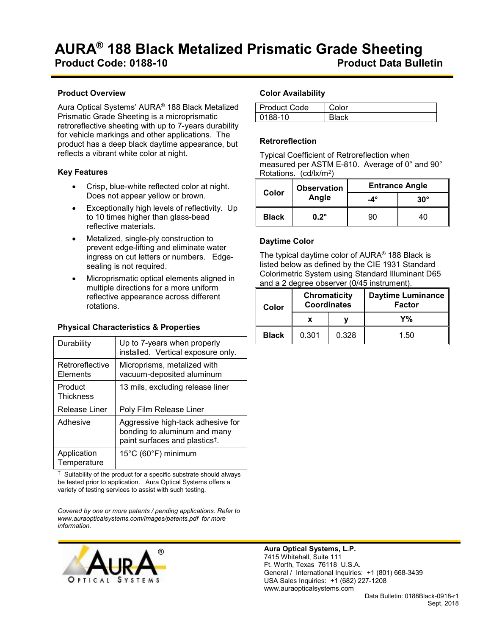#### **Product Overview**

Aura Optical Systems' AURA® 188 Black Metalized Prismatic Grade Sheeting is a microprismatic retroreflective sheeting with up to 7-years durability for vehicle markings and other applications. The product has a deep black daytime appearance, but reflects a vibrant white color at night.

## **Key Features**

- Crisp, blue-white reflected color at night. Does not appear yellow or brown.
- Exceptionally high levels of reflectivity. Up to 10 times higher than glass-bead reflective materials.
- Metalized, single-ply construction to prevent edge-lifting and eliminate water ingress on cut letters or numbers. Edgesealing is not required.
- Microprismatic optical elements aligned in multiple directions for a more uniform reflective appearance across different rotations.

## **Physical Characteristics & Properties**

| Durability                         | Up to 7-years when properly<br>installed. Vertical exposure only.                                               |  |
|------------------------------------|-----------------------------------------------------------------------------------------------------------------|--|
| Retroreflective<br><b>Flements</b> | Microprisms, metalized with<br>vacuum-deposited aluminum                                                        |  |
| Product<br><b>Thickness</b>        | 13 mils, excluding release liner                                                                                |  |
| Release Liner                      | Poly Film Release Liner                                                                                         |  |
| Adhesive                           | Aggressive high-tack adhesive for<br>bonding to aluminum and many<br>paint surfaces and plastics <sup>t</sup> . |  |
| Application<br>Temperature         | 15°C (60°F) minimum                                                                                             |  |

 $\dagger$  Suitability of the product for a specific substrate should always be tested prior to application. Aura Optical Systems offers a variety of testing services to assist with such testing.

*Covered by one or more patents / pending applications. Refer to www.auraopticalsystems.com/images/patents.pdf for more information.*



## **Color Availability**

| <b>Product Code</b> |  |
|---------------------|--|
| )188-10             |  |

## **Retroreflection**

Typical Coefficient of Retroreflection when measured per ASTM E-810. Average of 0° and 90° Rotations. (cd/lx/m2)

| Color        | <b>Observation</b><br>Angle | <b>Entrance Angle</b> |              |  |
|--------------|-----------------------------|-----------------------|--------------|--|
|              |                             | $-4^\circ$            | $30^{\circ}$ |  |
| <b>Black</b> | $0.2^\circ$                 | an                    | 40           |  |

# **Daytime Color**

The typical daytime color of AURA® 188 Black is listed below as defined by the CIE 1931 Standard Colorimetric System using Standard Illuminant D65 and a 2 degree observer (0/45 instrument).

| <b>Chromaticity</b><br><b>Coordinates</b><br>Color |       |       | <b>Daytime Luminance</b><br><b>Factor</b> |  |
|----------------------------------------------------|-------|-------|-------------------------------------------|--|
|                                                    |       |       | Y%                                        |  |
| <b>Black</b>                                       | 0.301 | 0.328 | 1.50                                      |  |

**Aura Optical Systems, L.P.** 7415 Whitehall, Suite 111 Ft. Worth, Texas 76118 U.S.A. General / International Inquiries: +1 (801) 668-3439 USA Sales Inquiries: +1 (682) 227-1208 www.auraopticalsystems.com